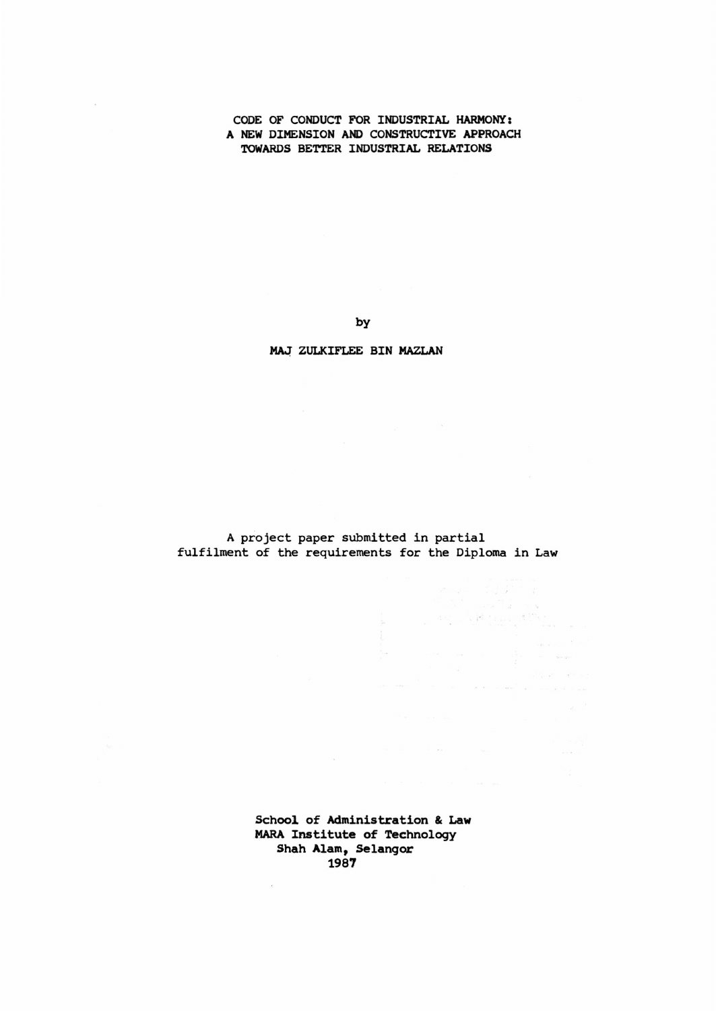CODE OF CONDUCT FOR INDUSTRIAL HARMONY:<br>A NEW DIMENSION AND CONSTRUCTIVE APPROACH A NEW DIMENSION AND CONSTRUCTIVE APPROACH<br>TOWARDS BETTER INDUSTRIAL RELATIONS

by

### MAJ ZULKIFLEE BIN MAZLAN

A project paper submitted in partial fulfilment of the requirements for the Diploma in Law

> School of Administration & Law MARA Institute of Technology Shah Alam, Selangor 1981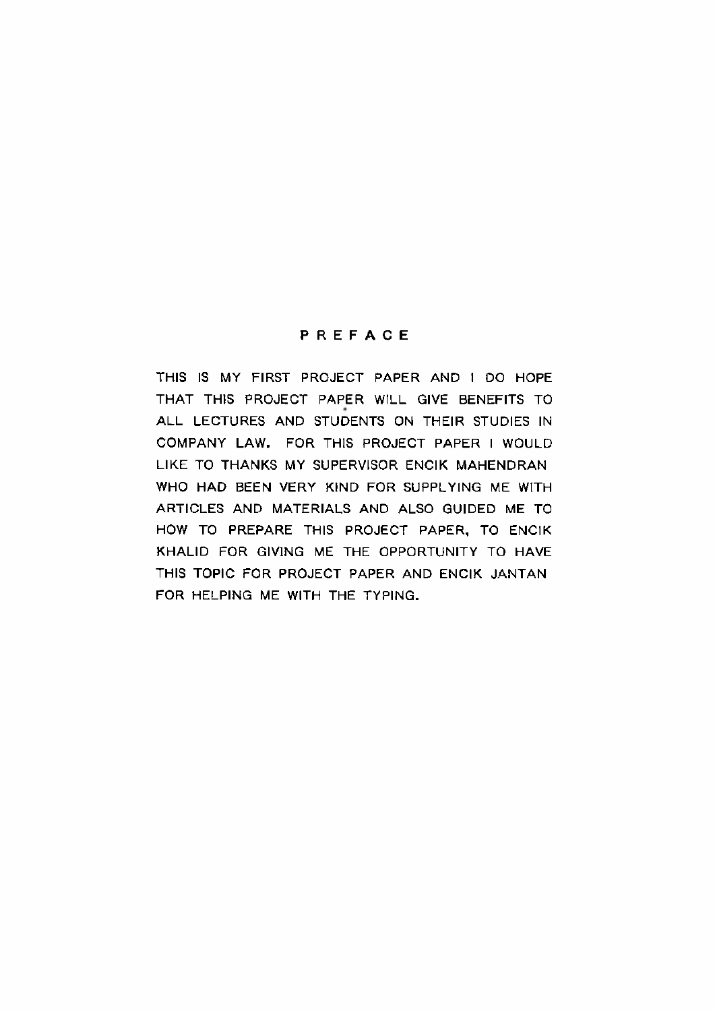# **PREFACE**

THIS IS MY FIRST PROJECT PAPER AND I DO HOPE THAT THIS PROJECT PAPER WILL GIVE BENEFITS TO ALL LECTURES AND STUDENTS ON THEIR STUDIES IN **COMPANY LAW. FOR THIS PROJECT PAPER I WOULD** LIKE TO THANKS MY SUPERVISOR ENCIK MAHENDRAN WHO HAD BEEN VERY KIND FOR SUPPLYING ME WITH ARTICLES AND MATERIALS AND ALSO GUIDED ME TO HOW TO PREPARE THIS PROJECT PAPER, TO ENCIK KHALID FOR GIVING ME THE OPPORTUNITY TO HAVE THIS TOPIC FOR PROJECT PAPER AND ENCIK JANTAN FOR HELPING ME WITH THE TYPING.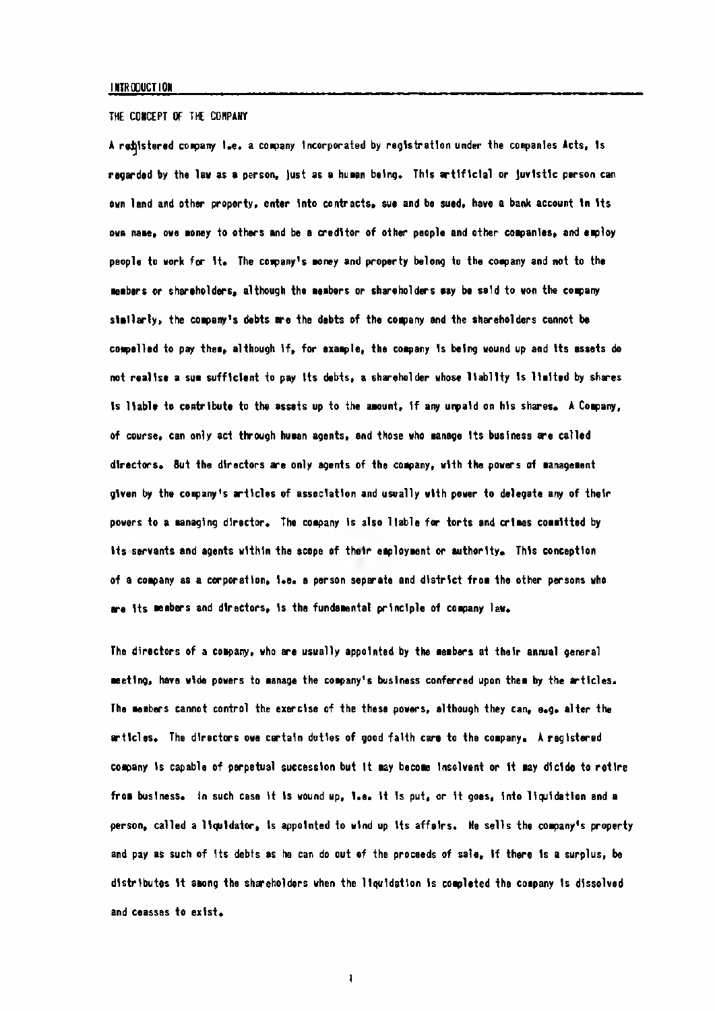#### INTRODUCTION

#### **THE CONCEPT OF THE COMPANY**

A redistered company i.e. a company incorporated by registration under the companies Acts, is regarded by the law as a person, just as a human being. This artificial or juvistic person can own land and other property, enter into contracts, sue and be sued, have a bank account in its pys name, owe money to others and be a creditor of other people and other companies, and employ people to work for it. The company's money and property belong to the company and not to the **aembers or shareholders, although the umbers or shareholders aay be said to won the coapany s im ila r ly , the company's debts are the debts of the coapany and the shareholders cannot be** compelled to pay them, although if, for example, the company is being wound up and its assets do **not re a lis e a sum s u ffic ie n t to pay its debts, a shareholder whose l la b l lt y is lim ite d by shares** is liable to contribute to the assets up to the amount, if any unpaid on his shares. A Company, **of course, can only act through huean agents, and those who manage its business are called** directors. But the directors are only agents of the company, with the powers of management given by the company's articles of association and usually with power to delegate any of their powers to a managing director. The company is also liable for torts and crimes committed by **its servants and agents within the scope of their employment or authority. This conception** of a company as a corporation, i.e. a person separate and district from the other persons who are its members and directors. Is the fundamental principle of company law.

The directors of a company, who are usually appointed by the members at their annual general meeting, have wide powers to manage the company's business conferred upon them by the articles. The members cannot control the exercise of the these powers, although they can, e.g. alter the articles. The directors owe certain duties of good faith care to the company. A registered company is capable of perpetual succession but it may become insolvent or it may dicide to retire from business. in such case it is wound up, i.e. it is put, or it goes, into liquidation and a person, called a liquidator, is appointed to wind up its affairs. He sells the company's property and pay as such of its debts as he can do out of the proceeds of sale, if there is a surplus, be distributes it among the shareholders when the llouidation is completed the company is dissolved and ceasses to exist.

*\*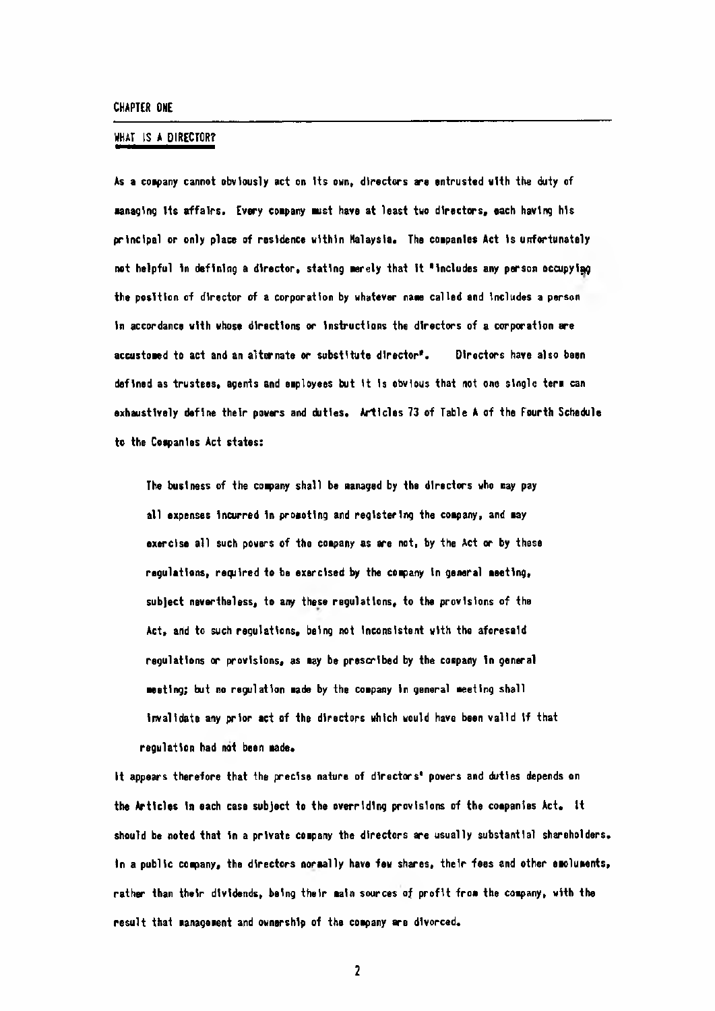### **WHAT IS A DIRECTOR?**

As a company cannot obviously act on its own, directors are entrusted with the duty of **aanaging its affairs. Every company must have at least two directors, each having his p rin c ip a l or only place of residence w ith in Malaysia. The coapanles Act is u nfortunately** not helpful in defining a director, stating merely that it "includes any person occupying the position of director of a corporation by whatever name called and includes a person in accordance with whose directions or instructions the directors of a corporation are accustomed to act and an alternate or substitute director<sup>e</sup>. **Directors have also been** defined as trustees, agents and employees but it is obvious that not one single term can exhaustively define their powers and duties. Articles 73 of Table A of the Fourth Schedule **to the Coapanles Act s tates:**

The business of the company shall be managed by the directors who may pay all expenses incurred in promoting and registering the company, and may exercise all such powers of the company as are not, by the Act or by these requistions, required to be exercised by the company in general meeting, subject nevertheless, to any these requistions, to the provisions of the Act, and to such requlations, being not inconsistent with the aforesaid **regulations or provisions, as aay be prescribed by the company in general meeting; but no requisition made by the company in general meeting shall** invalidate any prior act of the directors which would have been valid if that **re g u la tio n had not been aade.**

It appears therefore that the precise nature of directors' powers and duties depends on the Articles in each case subject to the overriding provisions of the coapanies Act. It should be noted that in a private company the directors are usually substantial shareholders. In a public company, the directors normally have few shares, their fees and other emoluments, rather than their dividends, being their main sources of profit from the company, with the result that management and ownership of the company are divorced.

**2**